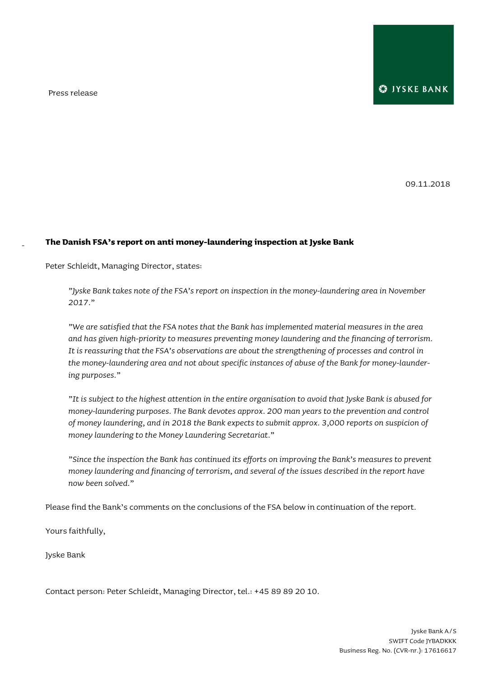Press release

-

09.11.2018

## **The Danish FSA's report on anti money-laundering inspection at Jyske Bank**

Peter Schleidt, Managing Director, states:

*"Jyske Bank takes note of the FSA's report on inspection in the money-laundering area in November 2017."*

*"We are satisfied that the FSA notes that the Bank has implemented material measures in the area and has given high-priority to measures preventing money laundering and the financing of terrorism. It is reassuring that the FSA's observations are about the strengthening of processes and control in the money-laundering area and not about specific instances of abuse of the Bank for money-laundering purposes."*

*"It is subject to the highest attention in the entire organisation to avoid that Jyske Bank is abused for money-laundering purposes. The Bank devotes approx. 200 man years to the prevention and control of money laundering, and in 2018 the Bank expects to submit approx. 3,000 reports on suspicion of money laundering to the Money Laundering Secretariat."*

*"Since the inspection the Bank has continued its efforts on improving the Bank's measures to prevent money laundering and financing of terrorism, and several of the issues described in the report have now been solved."*

Please find the Bank's comments on the conclusions of the FSA below in continuation of the report.

Yours faithfully,

Jyske Bank

Contact person: Peter Schleidt, Managing Director, tel.: +45 89 89 20 10.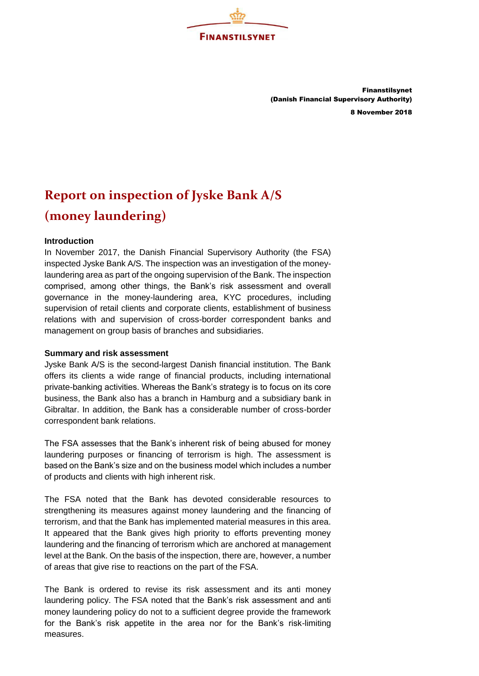

Finanstilsynet (Danish Financial Supervisory Authority) 8 November 2018

# **Report on inspection of Jyske Bank A/S (money laundering)**

## **Introduction**

In November 2017, the Danish Financial Supervisory Authority (the FSA) inspected Jyske Bank A/S. The inspection was an investigation of the moneylaundering area as part of the ongoing supervision of the Bank. The inspection comprised, among other things, the Bank's risk assessment and overall governance in the money-laundering area, KYC procedures, including supervision of retail clients and corporate clients, establishment of business relations with and supervision of cross-border correspondent banks and management on group basis of branches and subsidiaries.

#### **Summary and risk assessment**

Jyske Bank A/S is the second-largest Danish financial institution. The Bank offers its clients a wide range of financial products, including international private-banking activities. Whereas the Bank's strategy is to focus on its core business, the Bank also has a branch in Hamburg and a subsidiary bank in Gibraltar. In addition, the Bank has a considerable number of cross-border correspondent bank relations.

The FSA assesses that the Bank's inherent risk of being abused for money laundering purposes or financing of terrorism is high. The assessment is based on the Bank's size and on the business model which includes a number of products and clients with high inherent risk.

The FSA noted that the Bank has devoted considerable resources to strengthening its measures against money laundering and the financing of terrorism, and that the Bank has implemented material measures in this area. It appeared that the Bank gives high priority to efforts preventing money laundering and the financing of terrorism which are anchored at management level at the Bank. On the basis of the inspection, there are, however, a number of areas that give rise to reactions on the part of the FSA.

The Bank is ordered to revise its risk assessment and its anti money laundering policy. The FSA noted that the Bank's risk assessment and anti money laundering policy do not to a sufficient degree provide the framework for the Bank's risk appetite in the area nor for the Bank's risk-limiting measures.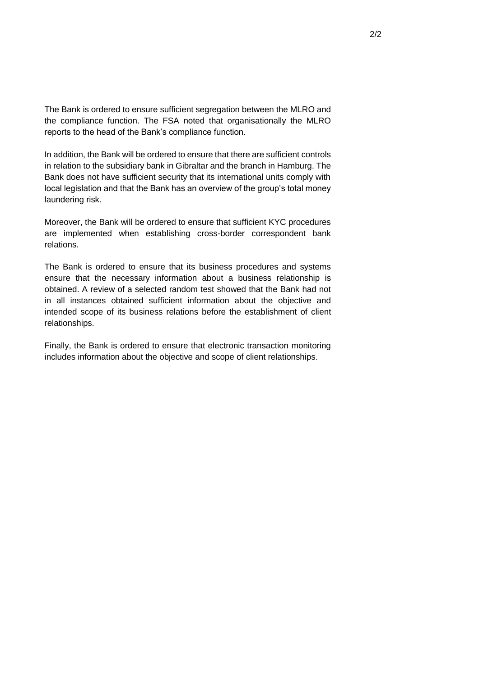The Bank is ordered to ensure sufficient segregation between the MLRO and the compliance function. The FSA noted that organisationally the MLRO reports to the head of the Bank's compliance function.

In addition, the Bank will be ordered to ensure that there are sufficient controls in relation to the subsidiary bank in Gibraltar and the branch in Hamburg. The Bank does not have sufficient security that its international units comply with local legislation and that the Bank has an overview of the group's total money laundering risk.

Moreover, the Bank will be ordered to ensure that sufficient KYC procedures are implemented when establishing cross-border correspondent bank relations.

The Bank is ordered to ensure that its business procedures and systems ensure that the necessary information about a business relationship is obtained. A review of a selected random test showed that the Bank had not in all instances obtained sufficient information about the objective and intended scope of its business relations before the establishment of client relationships.

Finally, the Bank is ordered to ensure that electronic transaction monitoring includes information about the objective and scope of client relationships.